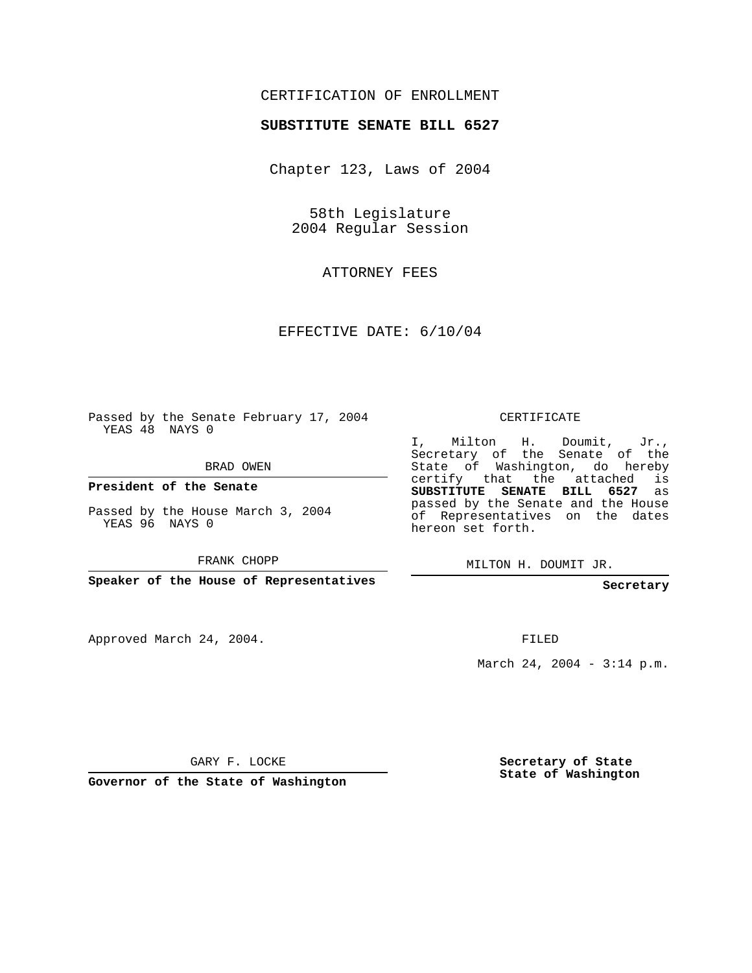## CERTIFICATION OF ENROLLMENT

## **SUBSTITUTE SENATE BILL 6527**

Chapter 123, Laws of 2004

58th Legislature 2004 Regular Session

ATTORNEY FEES

EFFECTIVE DATE: 6/10/04

Passed by the Senate February 17, 2004 YEAS 48 NAYS 0

BRAD OWEN

**President of the Senate**

Passed by the House March 3, 2004 YEAS 96 NAYS 0

FRANK CHOPP

**Speaker of the House of Representatives**

Approved March 24, 2004.

CERTIFICATE

I, Milton H. Doumit, Jr., Secretary of the Senate of the State of Washington, do hereby certify that the attached is **SUBSTITUTE SENATE BILL 6527** as passed by the Senate and the House of Representatives on the dates hereon set forth.

MILTON H. DOUMIT JR.

**Secretary**

FILED

March 24, 2004 - 3:14 p.m.

GARY F. LOCKE

**Governor of the State of Washington**

**Secretary of State State of Washington**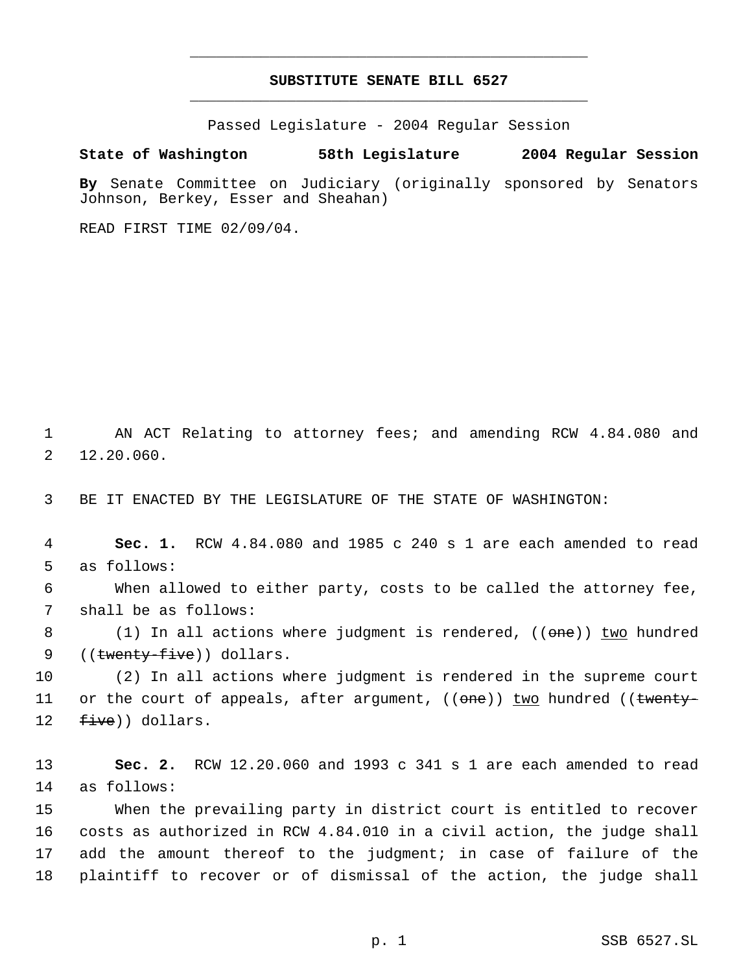## **SUBSTITUTE SENATE BILL 6527** \_\_\_\_\_\_\_\_\_\_\_\_\_\_\_\_\_\_\_\_\_\_\_\_\_\_\_\_\_\_\_\_\_\_\_\_\_\_\_\_\_\_\_\_\_

\_\_\_\_\_\_\_\_\_\_\_\_\_\_\_\_\_\_\_\_\_\_\_\_\_\_\_\_\_\_\_\_\_\_\_\_\_\_\_\_\_\_\_\_\_

Passed Legislature - 2004 Regular Session

## **State of Washington 58th Legislature 2004 Regular Session**

**By** Senate Committee on Judiciary (originally sponsored by Senators Johnson, Berkey, Esser and Sheahan)

READ FIRST TIME 02/09/04.

 1 AN ACT Relating to attorney fees; and amending RCW 4.84.080 and 2 12.20.060.

3 BE IT ENACTED BY THE LEGISLATURE OF THE STATE OF WASHINGTON:

 4 **Sec. 1.** RCW 4.84.080 and 1985 c 240 s 1 are each amended to read 5 as follows:

 6 When allowed to either party, costs to be called the attorney fee, 7 shall be as follows:

8 (1) In all actions where judgment is rendered, (( $\theta$ ne)) two hundred 9 ((twenty-five)) dollars.

10 (2) In all actions where judgment is rendered in the supreme court 11 or the court of appeals, after argument, (( $\theta$ ne)) two hundred (( $\theta$ + $\theta$ 12  $five)$ ) dollars.

13 **Sec. 2.** RCW 12.20.060 and 1993 c 341 s 1 are each amended to read 14 as follows:

 When the prevailing party in district court is entitled to recover costs as authorized in RCW 4.84.010 in a civil action, the judge shall add the amount thereof to the judgment; in case of failure of the plaintiff to recover or of dismissal of the action, the judge shall